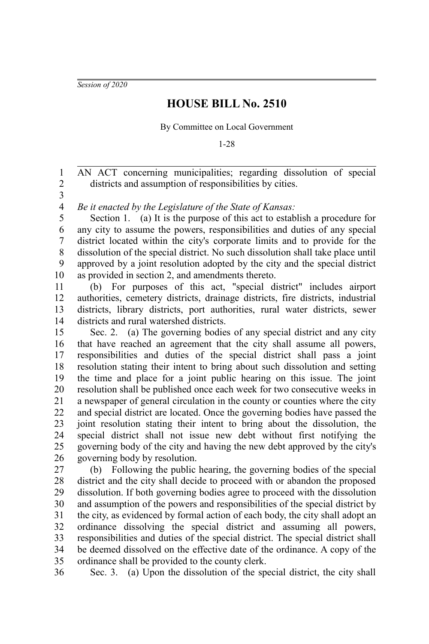*Session of 2020*

## **HOUSE BILL No. 2510**

By Committee on Local Government

1-28

AN ACT concerning municipalities; regarding dissolution of special districts and assumption of responsibilities by cities. 1 2

3

*Be it enacted by the Legislature of the State of Kansas:* 4

Section 1. (a) It is the purpose of this act to establish a procedure for any city to assume the powers, responsibilities and duties of any special district located within the city's corporate limits and to provide for the dissolution of the special district. No such dissolution shall take place until approved by a joint resolution adopted by the city and the special district as provided in section 2, and amendments thereto. 5 6 7 8 9 10

(b) For purposes of this act, "special district" includes airport authorities, cemetery districts, drainage districts, fire districts, industrial districts, library districts, port authorities, rural water districts, sewer districts and rural watershed districts. 11 12 13 14

Sec. 2. (a) The governing bodies of any special district and any city that have reached an agreement that the city shall assume all powers, responsibilities and duties of the special district shall pass a joint resolution stating their intent to bring about such dissolution and setting the time and place for a joint public hearing on this issue. The joint resolution shall be published once each week for two consecutive weeks in a newspaper of general circulation in the county or counties where the city and special district are located. Once the governing bodies have passed the joint resolution stating their intent to bring about the dissolution, the special district shall not issue new debt without first notifying the governing body of the city and having the new debt approved by the city's governing body by resolution. 15 16 17 18 19 20 21 22 23 24 25 26

(b) Following the public hearing, the governing bodies of the special district and the city shall decide to proceed with or abandon the proposed dissolution. If both governing bodies agree to proceed with the dissolution and assumption of the powers and responsibilities of the special district by the city, as evidenced by formal action of each body, the city shall adopt an ordinance dissolving the special district and assuming all powers, responsibilities and duties of the special district. The special district shall be deemed dissolved on the effective date of the ordinance. A copy of the ordinance shall be provided to the county clerk. 27 28 29 30 31 32 33 34 35

Sec. 3. (a) Upon the dissolution of the special district, the city shall 36